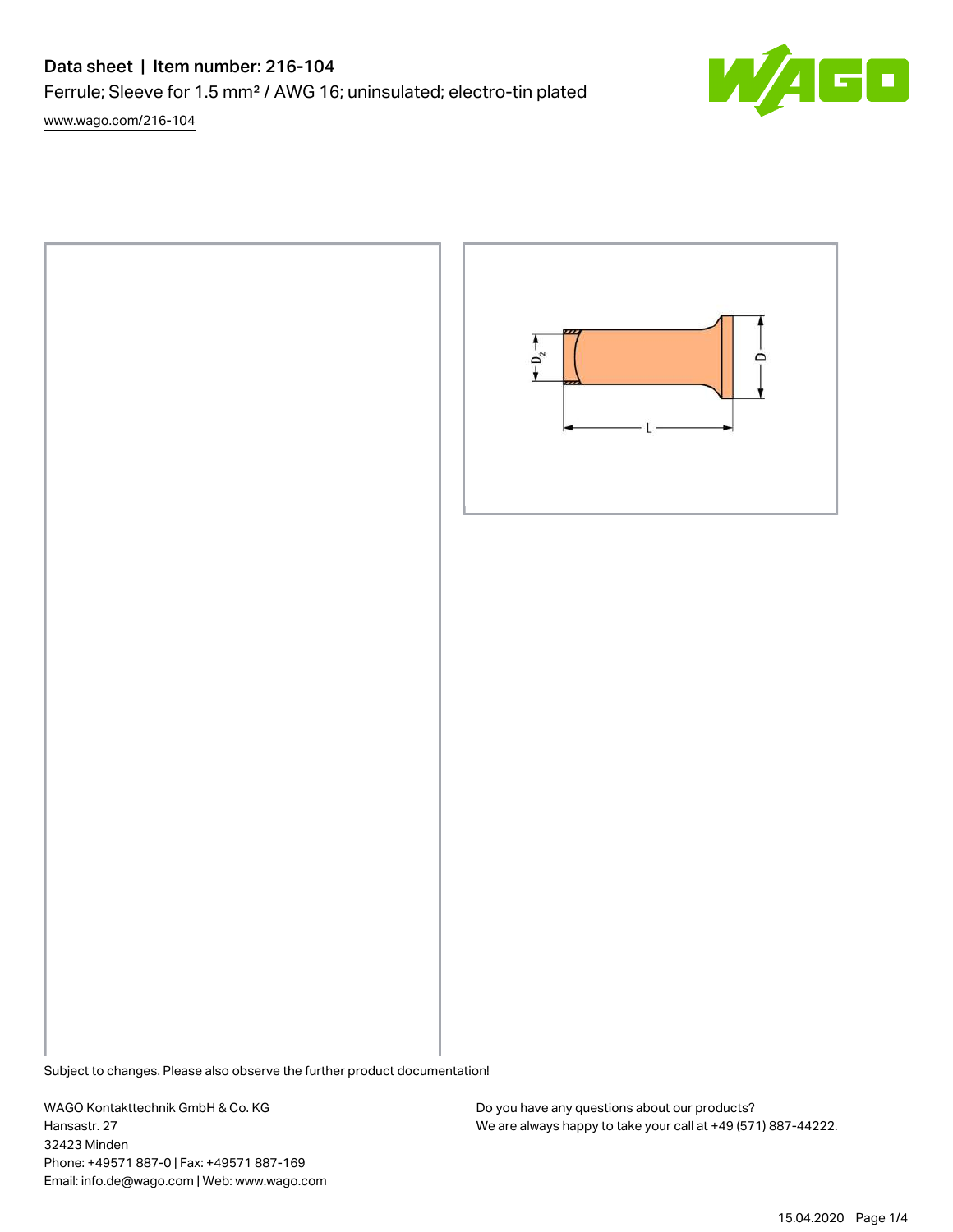# Data sheet | Item number: 216-104

Ferrule; Sleeve for 1.5 mm² / AWG 16; uninsulated; electro-tin plated

[www.wago.com/216-104](http://www.wago.com/216-104)





Subject to changes. Please also observe the further product documentation!

WAGO Kontakttechnik GmbH & Co. KG Hansastr. 27 32423 Minden Phone: +49571 887-0 | Fax: +49571 887-169 Email: info.de@wago.com | Web: www.wago.com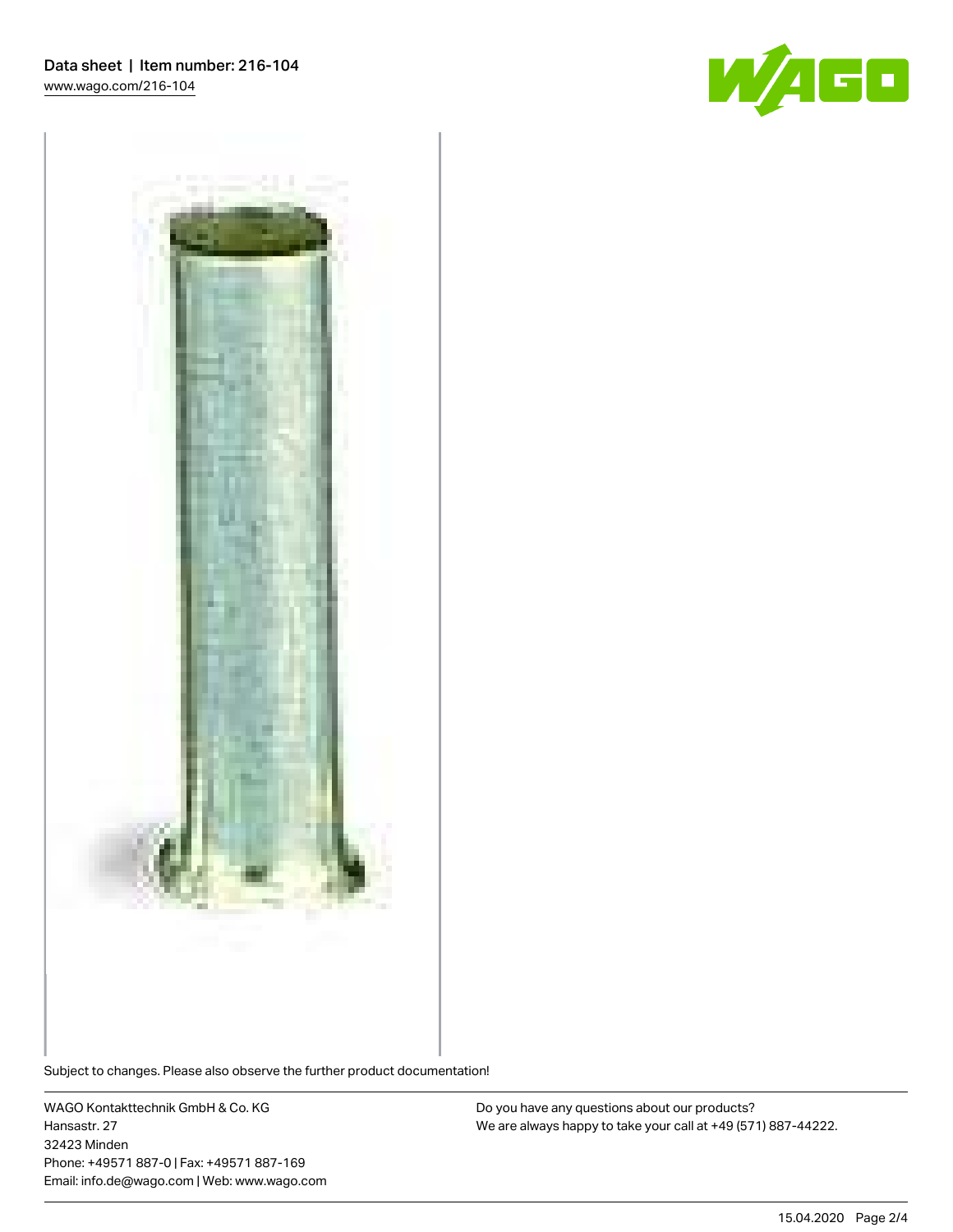



Subject to changes. Please also observe the further product documentation!

WAGO Kontakttechnik GmbH & Co. KG Hansastr. 27 32423 Minden Phone: +49571 887-0 | Fax: +49571 887-169 Email: info.de@wago.com | Web: www.wago.com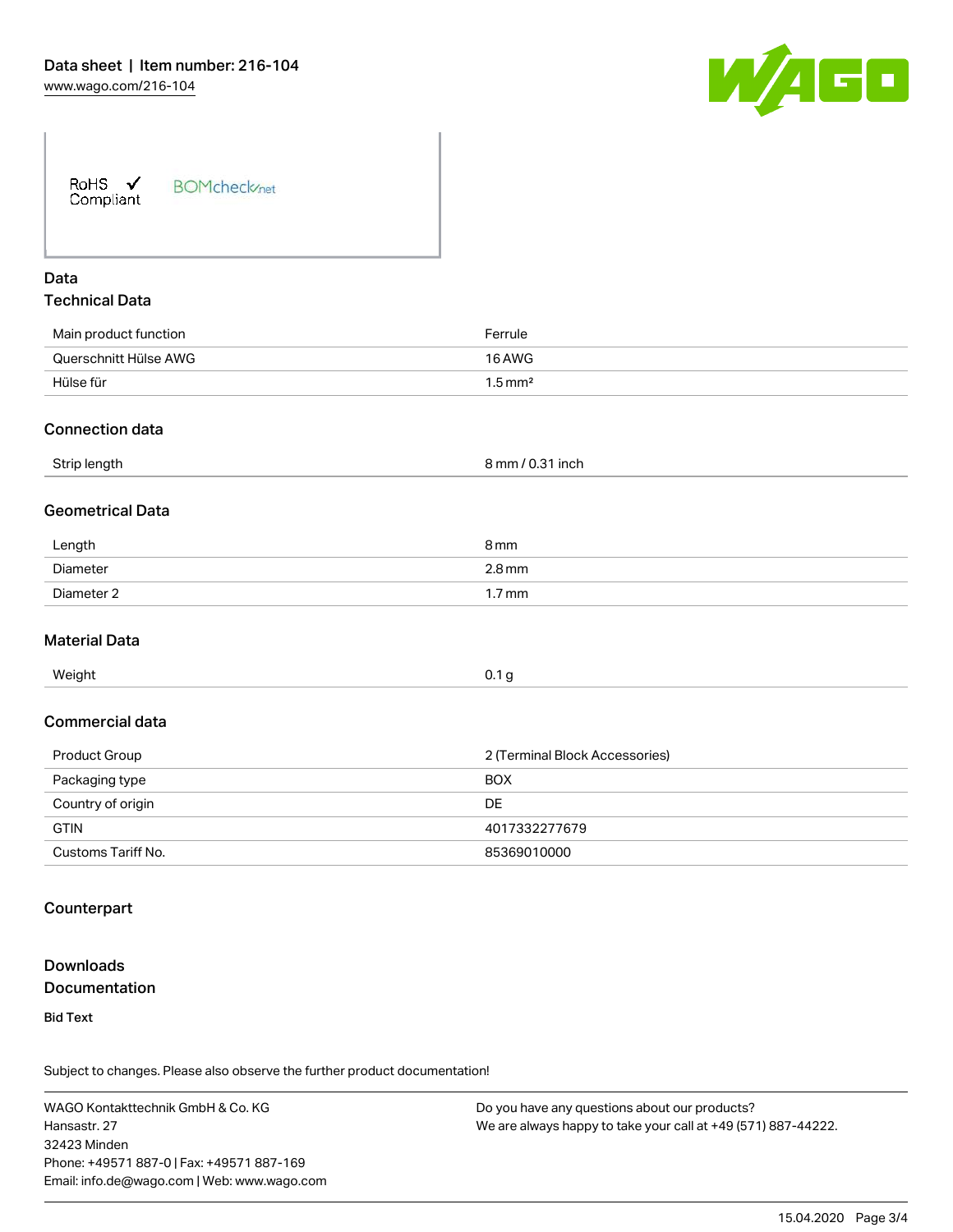

| <b>BOMcheck</b> /net |
|----------------------|
|                      |

# Data Technical Data

| Main product function | Ferrule               |
|-----------------------|-----------------------|
| Querschnitt Hülse AWG | 16 AWG                |
| Hülse für             | $1.5 \,\mathrm{mm}^2$ |

#### Connection data

| Strip length | 8 mm / 0.31 inch |
|--------------|------------------|
|              |                  |

#### Geometrical Data

| Length     | 8 <sub>mm</sub>     |
|------------|---------------------|
| Diameter   | $2.8 \,\mathrm{mm}$ |
| Diameter 2 | 1.7 mm              |

#### Material Data

| Weight | 0.1 <sub>g</sub> |
|--------|------------------|

#### Commercial data

| Product Group      | 2 (Terminal Block Accessories) |
|--------------------|--------------------------------|
| Packaging type     | <b>BOX</b>                     |
| Country of origin  | DE                             |
| <b>GTIN</b>        | 4017332277679                  |
| Customs Tariff No. | 85369010000                    |

## **Counterpart**

# **Downloads Documentation**

Bid Text

Subject to changes. Please also observe the further product documentation!

WAGO Kontakttechnik GmbH & Co. KG Hansastr. 27 32423 Minden Phone: +49571 887-0 | Fax: +49571 887-169 Email: info.de@wago.com | Web: www.wago.com